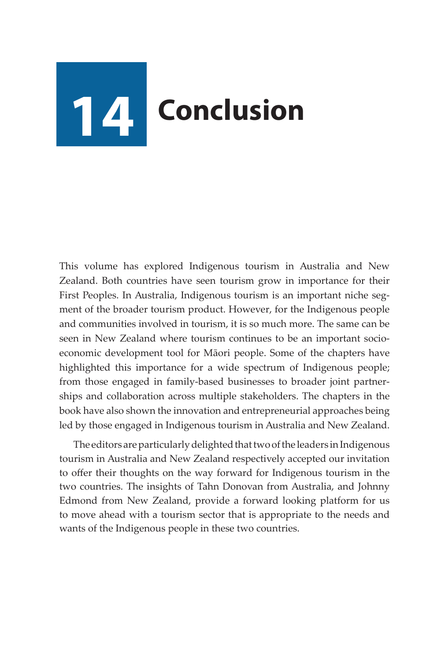## **14 Conclusion**

This volume has explored Indigenous tourism in Australia and New Zealand. Both countries have seen tourism grow in importance for their First Peoples. In Australia, Indigenous tourism is an important niche segment of the broader tourism product. However, for the Indigenous people and communities involved in tourism, it is so much more. The same can be seen in New Zealand where tourism continues to be an important socioeconomic development tool for Māori people. Some of the chapters have highlighted this importance for a wide spectrum of Indigenous people; from those engaged in family-based businesses to broader joint partnerships and collaboration across multiple stakeholders. The chapters in the book have also shown the innovation and entrepreneurial approaches being led by those engaged in Indigenous tourism in Australia and New Zealand.

The editors are particularly delighted that two of the leaders in Indigenous tourism in Australia and New Zealand respectively accepted our invitation to offer their thoughts on the way forward for Indigenous tourism in the two countries. The insights of Tahn Donovan from Australia, and Johnny Edmond from New Zealand, provide a forward looking platform for us to move ahead with a tourism sector that is appropriate to the needs and wants of the Indigenous people in these two countries.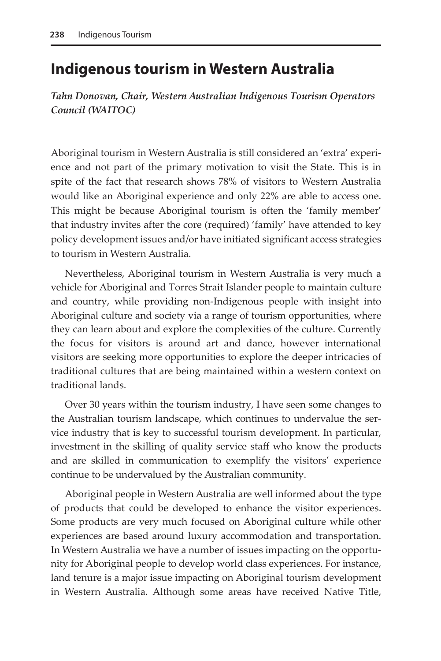## **Indigenous tourism in Western Australia**

*Tahn Donovan, Chair, Western Australian Indigenous Tourism Operators Council (WAITOC)*

Aboriginal tourism in Western Australia is still considered an 'extra' experience and not part of the primary motivation to visit the State. This is in spite of the fact that research shows 78% of visitors to Western Australia would like an Aboriginal experience and only 22% are able to access one. This might be because Aboriginal tourism is often the 'family member' that industry invites after the core (required) 'family' have attended to key policy development issues and/or have initiated significant access strategies to tourism in Western Australia.

Nevertheless, Aboriginal tourism in Western Australia is very much a vehicle for Aboriginal and Torres Strait Islander people to maintain culture and country, while providing non-Indigenous people with insight into Aboriginal culture and society via a range of tourism opportunities, where they can learn about and explore the complexities of the culture. Currently the focus for visitors is around art and dance, however international visitors are seeking more opportunities to explore the deeper intricacies of traditional cultures that are being maintained within a western context on traditional lands.

Over 30 years within the tourism industry, I have seen some changes to the Australian tourism landscape, which continues to undervalue the service industry that is key to successful tourism development. In particular, investment in the skilling of quality service staff who know the products and are skilled in communication to exemplify the visitors' experience continue to be undervalued by the Australian community.

Aboriginal people in Western Australia are well informed about the type of products that could be developed to enhance the visitor experiences. Some products are very much focused on Aboriginal culture while other experiences are based around luxury accommodation and transportation. In Western Australia we have a number of issues impacting on the opportunity for Aboriginal people to develop world class experiences. For instance, land tenure is a major issue impacting on Aboriginal tourism development in Western Australia. Although some areas have received Native Title,